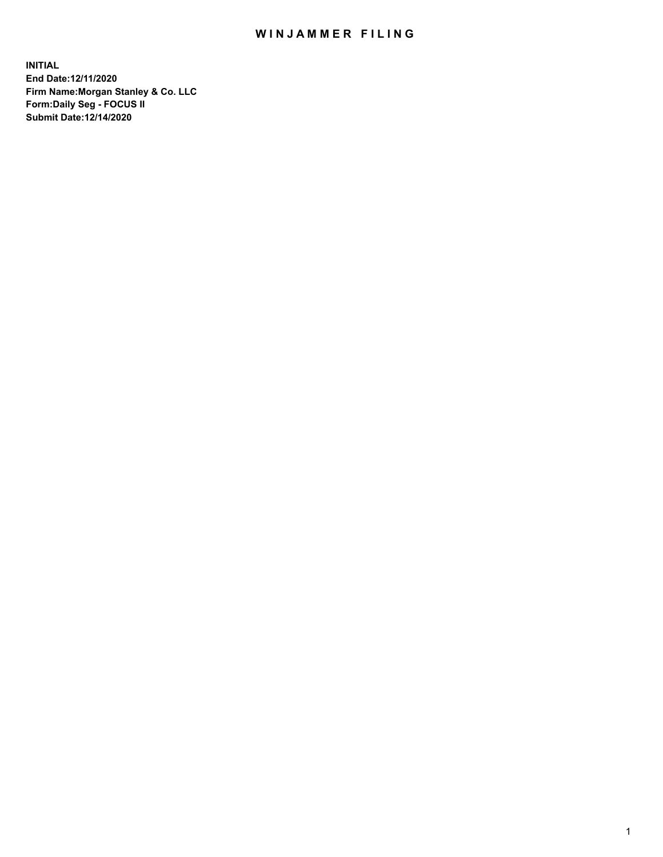## WIN JAMMER FILING

**INITIAL End Date:12/11/2020 Firm Name:Morgan Stanley & Co. LLC Form:Daily Seg - FOCUS II Submit Date:12/14/2020**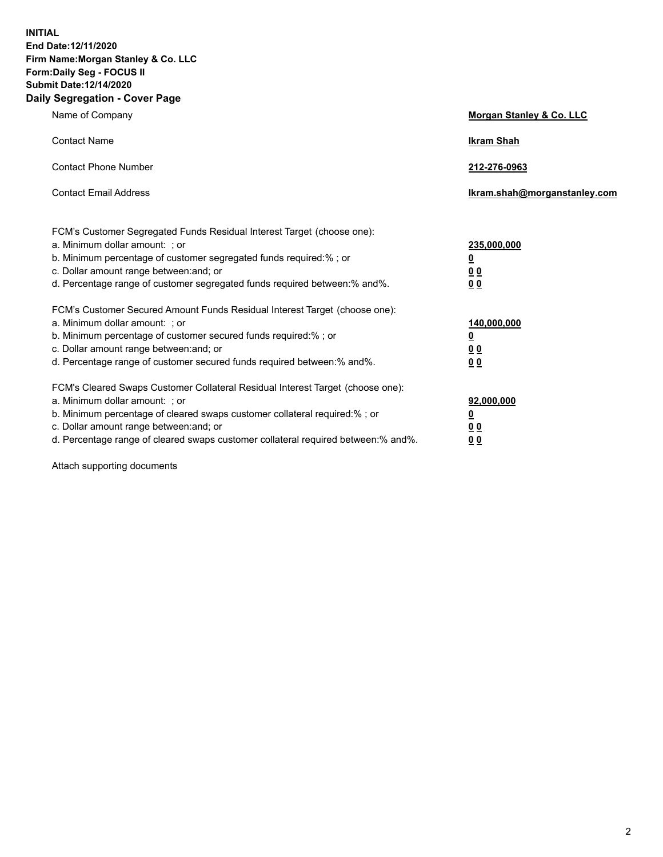**INITIAL End Date:12/11/2020 Firm Name:Morgan Stanley & Co. LLC Form:Daily Seg - FOCUS II Submit Date:12/14/2020 Daily Segregation - Cover Page**

| Name of Company                                                                                                                                                                                                                                                                                                               | Morgan Stanley & Co. LLC                        |
|-------------------------------------------------------------------------------------------------------------------------------------------------------------------------------------------------------------------------------------------------------------------------------------------------------------------------------|-------------------------------------------------|
| <b>Contact Name</b>                                                                                                                                                                                                                                                                                                           | <b>Ikram Shah</b>                               |
| <b>Contact Phone Number</b>                                                                                                                                                                                                                                                                                                   | 212-276-0963                                    |
| <b>Contact Email Address</b>                                                                                                                                                                                                                                                                                                  | Ikram.shah@morganstanley.com                    |
| FCM's Customer Segregated Funds Residual Interest Target (choose one):<br>a. Minimum dollar amount: ; or<br>b. Minimum percentage of customer segregated funds required:% ; or<br>c. Dollar amount range between: and; or<br>d. Percentage range of customer segregated funds required between:% and%.                        | 235,000,000<br><u>0</u><br>0 Q<br>0 Q           |
| FCM's Customer Secured Amount Funds Residual Interest Target (choose one):<br>a. Minimum dollar amount: ; or<br>b. Minimum percentage of customer secured funds required:%; or<br>c. Dollar amount range between: and; or<br>d. Percentage range of customer secured funds required between: % and %.                         | 140,000,000<br><u>0</u><br><u>0 0</u><br>0 Q    |
| FCM's Cleared Swaps Customer Collateral Residual Interest Target (choose one):<br>a. Minimum dollar amount: ; or<br>b. Minimum percentage of cleared swaps customer collateral required:%; or<br>c. Dollar amount range between: and; or<br>d. Percentage range of cleared swaps customer collateral required between:% and%. | 92,000,000<br><u>0</u><br>0 Q<br>0 <sub>0</sub> |

Attach supporting documents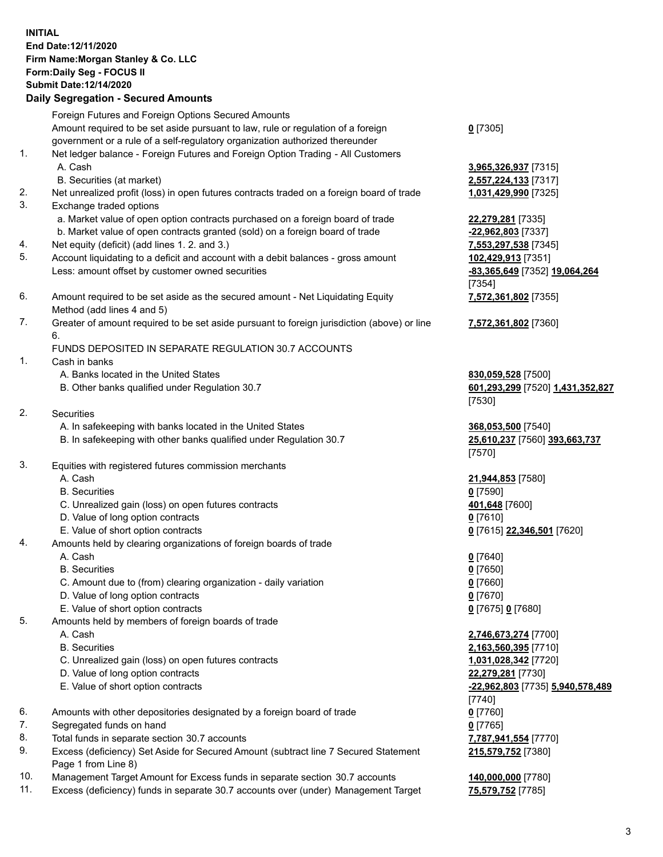## **INITIAL End Date:12/11/2020 Firm Name:Morgan Stanley & Co. LLC Form:Daily Seg - FOCUS II Submit Date:12/14/2020**

## **Daily Segregation - Secured Amounts**

Foreign Futures and Foreign Options Secured Amounts Amount required to be set aside pursuant to law, rule or regulation of a foreign government or a rule of a self-regulatory organization authorized thereunder 1. Net ledger balance - Foreign Futures and Foreign Option Trading - All Customers A. Cash **3,965,326,937** [7315] B. Securities (at market) **2,557,224,133** [7317] 2. Net unrealized profit (loss) in open futures contracts traded on a foreign board of trade **1,031,429,990** [7325] 3. Exchange traded options a. Market value of open option contracts purchased on a foreign board of trade **22,279,281** [7335] b. Market value of open contracts granted (sold) on a foreign board of trade **-22,962,803** [7337] 4. Net equity (deficit) (add lines 1. 2. and 3.) **7,553,297,538** [7345] 5. Account liquidating to a deficit and account with a debit balances - gross amount **102,429,913** [7351] Less: amount offset by customer owned securities **-83,365,649** [7352] **19,064,264** 6. Amount required to be set aside as the secured amount - Net Liquidating Equity Method (add lines 4 and 5) 7. Greater of amount required to be set aside pursuant to foreign jurisdiction (above) or line 6. FUNDS DEPOSITED IN SEPARATE REGULATION 30.7 ACCOUNTS 1. Cash in banks A. Banks located in the United States **830,059,528** [7500] B. Other banks qualified under Regulation 30.7 **601,293,299** [7520] **1,431,352,827** 2. Securities A. In safekeeping with banks located in the United States **368,053,500** [7540] B. In safekeeping with other banks qualified under Regulation 30.7 **25,610,237** [7560] **393,663,737** 3. Equities with registered futures commission merchants A. Cash **21,944,853** [7580] B. Securities **0** [7590] C. Unrealized gain (loss) on open futures contracts **401,648** [7600] D. Value of long option contracts **0** [7610] E. Value of short option contracts **0** [7615] **22,346,501** [7620] 4. Amounts held by clearing organizations of foreign boards of trade A. Cash **0** [7640] B. Securities **0** [7650] C. Amount due to (from) clearing organization - daily variation **0** [7660] D. Value of long option contracts **0** [7670] E. Value of short option contracts **0** [7675] **0** [7680] 5. Amounts held by members of foreign boards of trade A. Cash **2,746,673,274** [7700] B. Securities **2,163,560,395** [7710] C. Unrealized gain (loss) on open futures contracts **1,031,028,342** [7720] D. Value of long option contracts **22,279,281** [7730] E. Value of short option contracts **-22,962,803** [7735] **5,940,578,489**

- 6. Amounts with other depositories designated by a foreign board of trade **0** [7760]
- 7. Segregated funds on hand **0** [7765]
- 8. Total funds in separate section 30.7 accounts **7,787,941,554** [7770]
- 9. Excess (deficiency) Set Aside for Secured Amount (subtract line 7 Secured Statement Page 1 from Line 8)
- 10. Management Target Amount for Excess funds in separate section 30.7 accounts **140,000,000** [7780]
- 11. Excess (deficiency) funds in separate 30.7 accounts over (under) Management Target **75,579,752** [7785]

**0** [7305]

[7354] **7,572,361,802** [7355]

**7,572,361,802** [7360]

[7530]

[7570]

[7740] **215,579,752** [7380]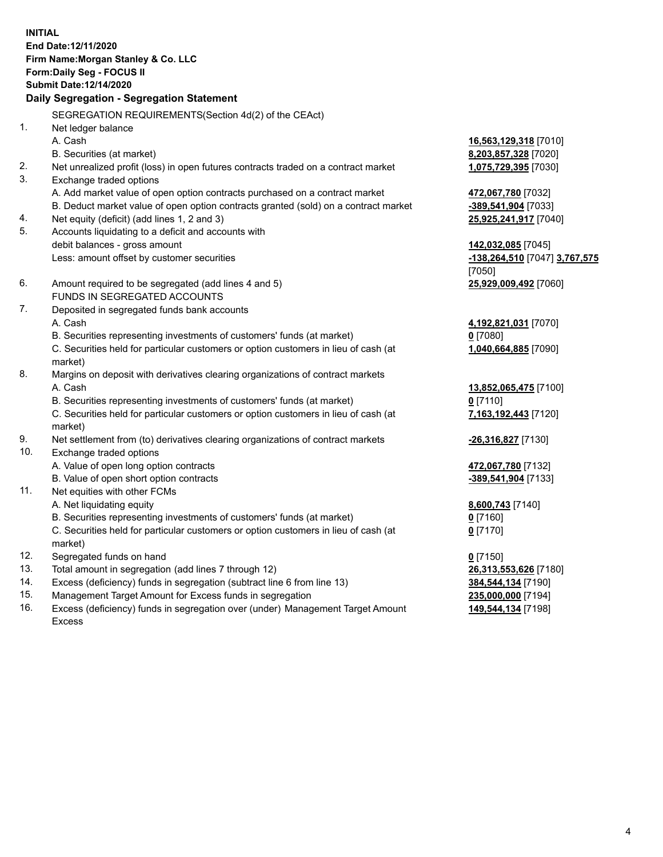**INITIAL End Date:12/11/2020 Firm Name:Morgan Stanley & Co. LLC Form:Daily Seg - FOCUS II Submit Date:12/14/2020 Daily Segregation - Segregation Statement** SEGREGATION REQUIREMENTS(Section 4d(2) of the CEAct) 1. Net ledger balance A. Cash **16,563,129,318** [7010] B. Securities (at market) **8,203,857,328** [7020] 2. Net unrealized profit (loss) in open futures contracts traded on a contract market **1,075,729,395** [7030] 3. Exchange traded options A. Add market value of open option contracts purchased on a contract market **472,067,780** [7032] B. Deduct market value of open option contracts granted (sold) on a contract market **-389,541,904** [7033] 4. Net equity (deficit) (add lines 1, 2 and 3) **25,925,241,917** [7040] 5. Accounts liquidating to a deficit and accounts with debit balances - gross amount **142,032,085** [7045] Less: amount offset by customer securities **-138,264,510** [7047] **3,767,575** [7050] 6. Amount required to be segregated (add lines 4 and 5) **25,929,009,492** [7060] FUNDS IN SEGREGATED ACCOUNTS 7. Deposited in segregated funds bank accounts A. Cash **4,192,821,031** [7070] B. Securities representing investments of customers' funds (at market) **0** [7080] C. Securities held for particular customers or option customers in lieu of cash (at market) **1,040,664,885** [7090] 8. Margins on deposit with derivatives clearing organizations of contract markets A. Cash **13,852,065,475** [7100] B. Securities representing investments of customers' funds (at market) **0** [7110] C. Securities held for particular customers or option customers in lieu of cash (at market) **7,163,192,443** [7120] 9. Net settlement from (to) derivatives clearing organizations of contract markets **-26,316,827** [7130] 10. Exchange traded options A. Value of open long option contracts **472,067,780** [7132] B. Value of open short option contracts **-389,541,904** [7133] 11. Net equities with other FCMs A. Net liquidating equity **8,600,743** [7140] B. Securities representing investments of customers' funds (at market) **0** [7160] C. Securities held for particular customers or option customers in lieu of cash (at market) **0** [7170] 12. Segregated funds on hand **0** [7150] 13. Total amount in segregation (add lines 7 through 12) **26,313,553,626** [7180] 14. Excess (deficiency) funds in segregation (subtract line 6 from line 13) **384,544,134** [7190] 15. Management Target Amount for Excess funds in segregation **235,000,000** [7194]

16. Excess (deficiency) funds in segregation over (under) Management Target Amount Excess

**149,544,134** [7198]